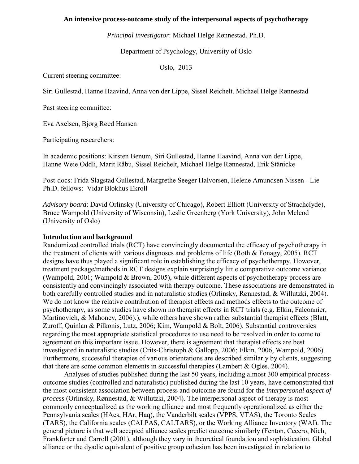## **An intensive process-outcome study of the interpersonal aspects of psychotherapy**

*Principal investigator*: Michael Helge Rønnestad, Ph.D.

Department of Psychology, University of Oslo

Oslo, 2013

Current steering committee:

Siri Gullestad, Hanne Haavind, Anna von der Lippe, Sissel Reichelt, Michael Helge Rønnestad

Past steering committee:

Eva Axelsen, Bjørg Røed Hansen

Participating researchers:

In academic positions: Kirsten Benum, Siri Gullestad, Hanne Haavind, Anna von der Lippe, Hanne Weie Oddli, Marit Råbu, Sissel Reichelt, Michael Helge Rønnestad, Erik Stänicke

Post-docs: Frida Slagstad Gullestad, Margrethe Seeger Halvorsen, Helene Amundsen Nissen - Lie Ph.D. fellows: Vidar Blokhus Ekroll

*Advisory board*: David Orlinsky (University of Chicago), Robert Elliott (University of Strachclyde), Bruce Wampold (University of Wisconsin), Leslie Greenberg (York University), John Mcleod (University of Oslo)

### **Introduction and background**

Randomized controlled trials (RCT) have convincingly documented the efficacy of psychotherapy in the treatment of clients with various diagnoses and problems of life (Roth & Fonagy, 2005). RCT designs have thus played a significant role in establishing the efficacy of psychotherapy. However, treatment package/methods in RCT designs explain surprisingly little comparative outcome variance (Wampold, 2001; Wampold & Brown, 2005), while different aspects of psychotherapy process are consistently and convincingly associated with therapy outcome. These associations are demonstrated in both carefully controlled studies and in naturalistic studies (Orlinsky, Rønnestad, & Willutzki, 2004). We do not know the relative contribution of therapist effects and methods effects to the outcome of psychotherapy, as some studies have shown no therapist effects in RCT trials (e.g. Elkin, Falconnier, Martinovich, & Mahoney, 2006).), while others have shown rather substantial therapist effects (Blatt, Zuroff, Quinlan & Pilkonis, Lutz, 2006; Kim, Wampold & Bolt, 2006). Substantial controversies regarding the most appropriate statistical procedures to use need to be resolved in order to come to agreement on this important issue. However, there is agreement that therapist effects are best investigated in naturalistic studies (Crits-Christoph & Gallopp, 2006; Elkin, 2006, Wampold, 2006). Furthermore, successful therapies of various orientations are described similarly by clients, suggesting that there are some common elements in successful therapies (Lambert & Ogles, 2004).

 *process* (Orlinsky, Rønnestad, & Willutzki, 2004). The interpersonal aspect of therapy is most Analyses of studies published during the last 50 years, including almost 300 empirical processoutcome studies (controlled and naturalistic) published during the last 10 years, have demonstrated that the most consistent association between process and outcome are found for the *interpersonal aspect of*  commonly conceptualized as the working alliance and most frequently operationalized as either the Pennsylvania scales (HAcs, HAr, Haq), the Vanderbilt scales (VPPS, VTAS), the Toronto Scales (TARS), the California scales (CALPAS, CALTARS), or the Working Alliance Inventory (WAI). The general picture is that well accepted alliance scales predict outcome similarly (Fenton, Cecero, Nich, Frankforter and Carroll (2001), although they vary in theoretical foundation and sophistication. Global alliance or the dyadic equivalent of positive group cohesion has been investigated in relation to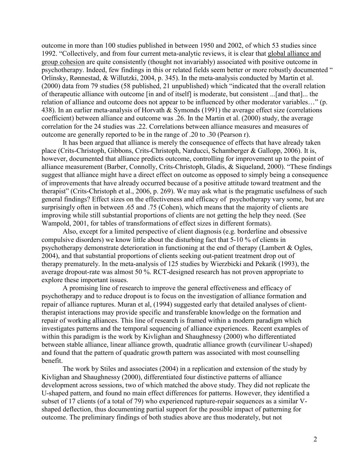outcome in more than 100 studies published in between 1950 and 2002, of which 53 studies since 1992. "Collectively, and from four current meta-analytic reviews, it is clear that global alliance and group cohesion are quite consistently (thought not invariably) associated with positive outcome in psychotherapy. Indeed, few findings in this or related fields seem better or more robustly documented " Orlinsky, Rønnestad, & Willutzki, 2004, p. 345). In the meta-analysis conducted by Martin et al. (2000) data from 79 studies (58 published, 21 unpublished) which "indicated that the overall relation of therapeutic alliance with outcome [in and of itself] is moderate, but consistent ...[and that]... the relation of alliance and outcome does not appear to be influenced by other moderator variables…" (p. 438). In an earlier meta-analysis of Horvath & Symonds (1991) the average effect size (correlations coefficient) between alliance and outcome was .26. In the Martin et al. (2000) study, the average correlation for the 24 studies was .22. Correlations between alliance measures and measures of outcome are generally reported to be in the range of .20 to .30 (Pearson r).

It has been argued that alliance is merely the consequence of effects that have already taken place (Crits-Christoph, Gibbons, Crits-Christoph, Narducci, Schamberger & Gallopp, 2006). It is, however, documented that alliance predicts outcome, controlling for improvement up to the point of alliance measurement (Barber, Connolly, Crits-Christoph, Gladis, & Siqueland, 2000). "These findings suggest that alliance might have a direct effect on outcome as opposed to simply being a consequence of improvements that have already occurred because of a positive attitude toward treatment and the therapist" (Crits-Christoph et al., 2006, p. 269). We may ask what is the pragmatic usefulness of such general findings? Effect sizes on the effectiveness and efficacy of psychotherapy vary some, but are surprisingly often in between .65 and .75 (Cohen), which means that the majority of clients are improving while still substantial proportions of clients are not getting the help they need. (See Wampold, 2001, for tables of transformations of effect sizes in different formats).

Also, except for a limited perspective of client diagnosis (e.g. borderline and obsessive compulsive disorders) we know little about the disturbing fact that 5-10 % of clients in psychotherapy demonstrate deterioration in functioning at the end of therapy (Lambert & Ogles, 2004), and that substantial proportions of clients seeking out-patient treatment drop out of therapy prematurely. In the meta-analysis of 125 studies by Wierzbicki and Pekarik (1993), the average dropout-rate was almost 50 %. RCT-designed research has not proven appropriate to explore these important issues.

A promising line of research to improve the general effectiveness and efficacy of psychotherapy and to reduce dropout is to focus on the investigation of alliance formation and repair of alliance ruptures. Muran et al, (1994) suggested early that detailed analyses of clienttherapist interactions may provide specific and transferable knowledge on the formation and repair of working alliances. This line of research is framed within a modern paradigm which investigates patterns and the temporal sequencing of alliance experiences. Recent examples of within this paradigm is the work by Kivlighan and Shaughnessy (2000) who differentiated between stable alliance, linear alliance growth, quadratic alliance growth (curvilinear U-shaped) and found that the pattern of quadratic growth pattern was associated with most counselling benefit.

The work by Stiles and associates (2004) in a replication and extension of the study by Kivlighan and Shaughnessy (2000), differentiated four distinctive patterns of alliance development across sessions, two of which matched the above study. They did not replicate the U-shaped pattern, and found no main effect differences for patterns. However, they identified a subset of 17 clients (of a total of 79) who experienced rupture-repair sequences as a similar Vshaped deflection, thus documenting partial support for the possible impact of patterning for outcome. The preliminary findings of both studies above are thus moderately, but not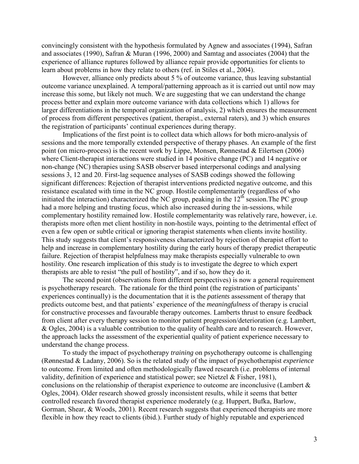convincingly consistent with the hypothesis formulated by Agnew and associates (1994), Safran and associates (1990), Safran & Muran (1996, 2000) and Samtag and associates (2004) that the experience of alliance ruptures followed by alliance repair provide opportunities for clients to learn about problems in how they relate to others (ref. in Stiles et al., 2004).

However, alliance only predicts about 5 % of outcome variance, thus leaving substantial outcome variance unexplained. A temporal/patterning approach as it is carried out until now may increase this some, but likely not much. We are suggesting that we can understand the change process better and explain more outcome variance with data collections which 1) allows for larger differentiations in the temporal organization of analysis, 2) which ensures the measurement of process from different perspectives (patient, therapist., external raters), and 3) which ensures the registration of participants' continual experiences during therapy.

Implications of the first point is to collect data which allows for both micro-analysis of sessions and the more temporally extended perspective of therapy phases. An example of the first point (on micro-process) is the recent work by Lippe, Monsen, Rønnestad & Eilertsen (2006) where Client-therapist interactions were studied in 14 positive change (PC) and 14 negative or non-change (NC) therapies using SASB observer based interpersonal codings and analysing sessions 3, 12 and 20. First-lag sequence analyses of SASB codings showed the following significant differences: Rejection of therapist interventions predicted negative outcome, and this resistance escalated with time in the NC group. Hostile complementarity (regardless of who initiated the interaction) characterized the NC group, peaking in the  $12<sup>th</sup>$  session. The PC group had a more helping and trusting focus, which also increased during the in-sessions, while complementary hostility remained low. Hostile complementarity was relatively rare, however, i.e. therapists more often met client hostility in non-hostile ways, pointing to the detrimental effect of even a few open or subtle critical or ignoring therapist statements when clients invite hostility. This study suggests that client's responsiveness characterized by rejection of therapist effort to help and increase in complementary hostility during the early hours of therapy predict therapeutic failure. Rejection of therapist helpfulness may make therapists especially vulnerable to own hostility. One research implication of this study is to investigate the degree to which expert therapists are able to resist "the pull of hostility", and if so, how they do it.

The second point (observations from different perspectives) is now a general requirement is psychotherapy research. The rationale for the third point (the registration of participants' experiences continually) is the documentation that it is the *patients* assessment of therapy that predicts outcome best, and that patients' experience of the *meaningfulness* of therapy is crucial for constructive processes and favourable therapy outcomes. Lamberts thrust to ensure feedback from client after every therapy session to monitor patient progression/deterioration (e.g. Lambert, & Ogles, 2004) is a valuable contribution to the quality of health care and to research. However, the approach lacks the assessment of the experiential quality of patient experience necessary to understand the change process.

To study the impact of psychotherapy *training* on psychotherapy outcome is challenging (Rønnestad & Ladany, 2006). So is the related study of the impact of psychotherapist *experience* to outcome. From limited and often methodologically flawed research (i.e. problems of internal validity, definition of experience and statistical power; see Nietzel & Fisher, 1981), conclusions on the relationship of therapist experience to outcome are inconclusive (Lambert & Ogles, 2004). Older research showed grossly inconsistent results, while it seems that better controlled research favored therapist experience moderately (e.g. Huppert, Bufka, Barlow, Gorman, Shear, & Woods, 2001). Recent research suggests that experienced therapists are more flexible in how they react to clients (ibid.). Further study of highly reputable and experienced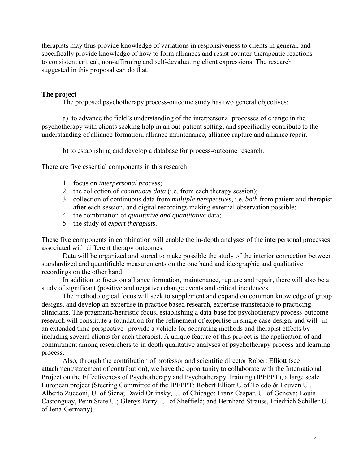therapists may thus provide knowledge of variations in responsiveness to clients in general, and specifically provide knowledge of how to form alliances and resist counter-therapeutic reactions to consistent critical, non-affirming and self-devaluating client expressions. The research suggested in this proposal can do that.

# **The project**

The proposed psychotherapy process-outcome study has two general objectives:

a) to advance the field's understanding of the interpersonal processes of change in the psychotherapy with clients seeking help in an out-patient setting, and specifically contribute to the understanding of alliance formation, alliance maintenance, alliance rupture and alliance repair.

b) to establishing and develop a database for process-outcome research.

There are five essential components in this research:

- 1. focus on *interpersonal process*;
- 2. the collection of *continuous data* (i.e. from each therapy session);
- 3. collection of continuous data from *multiple perspectives*, i.e. *both* from patient and therapist after each session, and digital recordings making external observation possible;
- 4. the combination of *qualitative and quantitative* data;
- 5. the study of *expert therapists*.

These five components in combination will enable the in-depth analyses of the interpersonal processes associated with different therapy outcomes.

Data will be organized and stored to make possible the study of the interior connection between standardized and quantifiable measurements on the one hand and ideographic and qualitative recordings on the other hand.

In addition to focus on alliance formation, maintenance, rupture and repair, there will also be a study of significant (positive and negative) change events and critical incidences.

The methodological focus will seek to supplement and expand on common knowledge of group designs, and develop an expertise in practice based research, expertise transferable to practicing clinicians. The pragmatic/heuristic focus, establishing a data-base for psychotherapy process-outcome research will constitute a foundation for the refinement of expertise in single case design, and will--in an extended time perspective--provide a vehicle for separating methods and therapist effects by including several clients for each therapist. A unique feature of this project is the application of and commitment among researchers to in depth qualitative analyses of psychotherapy process and learning process.

Also, through the contribution of professor and scientific director Robert Elliott (see attachment/statement of contribution), we have the opportunity to collaborate with the International Project on the Effectiveness of Psychotherapy and Psychotherapy Training (IPEPPT), a large scale European project (Steering Committee of the IPEPPT: Robert Elliott U.of Toledo & Leuven U., Alberto Zucconi, U. of Siena; David Orlinsky, U. of Chicago; Franz Caspar, U. of Geneva; Louis Castonguay, Penn State U.; Glenys Parry. U. of Sheffield; and Bernhard Strauss, Friedrich Schiller U. of Jena-Germany).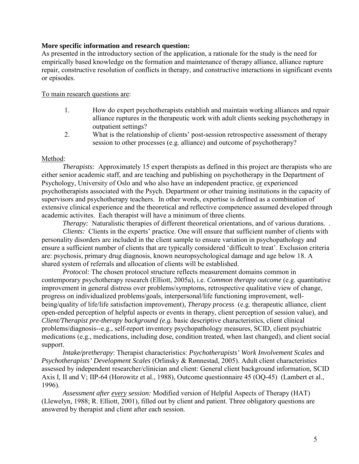### **More specific information and research question:**

As presented in the introductory section of the application, a rationale for the study is the need for empirically based knowledge on the formation and maintenance of therapy alliance, alliance rupture repair, constructive resolution of conflicts in therapy, and constructive interactions in significant events or episodes.

### To main research questions are:

- 1. How do expert psychotherapists establish and maintain working alliances and repair alliance ruptures in the therapeutic work with adult clients seeking psychotherapy in outpatient settings?
- 2. What is the relationship of clients' post-session retrospective assessment of therapy session to other processes (e.g. alliance) and outcome of psychotherapy?

### Method:

*Therapists:* Approximately 15 expert therapists as defined in this project are therapists who are either senior academic staff, and are teaching and publishing on psychotherapy in the Department of Psychology, University of Oslo and who also have an independent practice, or experienced psychotherapists associated with the Psych. Department or other training institutions in the capacity of supervisors and psychotherapy teachers. In other words, expertise is defined as a combination of extensive clinical experience and the theoretical and reflective competence assumed developed through academic activites. Each therapist will have a minimum of three clients.

*Therapy:* Naturalistic therapies of different theoretical orientations, and of various durations... *Clients:* Clients in the experts' practice. One will ensure that sufficient number of clients with personality disorders are included in the client sample to ensure variation in psychopathology and ensure a sufficient number of clients that are typically considered 'difficult to treat'. Exclusion criteria are: psychosis, primary drug diagnosis, known neuropsychological damage and age below 18. A shared system of referrals and allocation of clients will be established.

*Protocol:* The chosen protocol structure reflects measurement domains common in contemporary psychotherapy research (Elliott, 2005a), i.e. *Common therapy outcome* (e.g. quantitative improvement in general distress over problems/symptoms, retrospective qualitative view of change, progress on individualized problems/goals, interpersonal/life functioning improvement, wellbeing/quality of life/life satisfaction improvement), *Therapy process* (e.g. therapeutic alliance, client open-ended perception of helpful aspects or events in therapy, client perception of session value), and *Client/Therapist pre-therapy background (e.g.* basic descriptive characteristics, client clinical problems/diagnosis--e.g., self-report inventory psychopathology measures, SCID, client psychiatric medications (e.g., medications, including dose, condition treated, when last changed), and client social support.

*Intake/pretherapy*: Therapist characteristics: *Psychotherapists' Work Involvement Scales* and *Psychotherapists' Development Scales* (Orlinsky & Rønnestad, 2005). Adult client characteristics assessed by independent researcher/clinician and client: General client background information, SCID Axis I, II and V; IIP-64 (Horowitz et al., 1988), Outcome questionnaire 45 (OQ-45) (Lambert et al., 1996).

*Assessment after every session:* Modified version of Helpful Aspects of Therapy (HAT) (Llewelyn, 1988; R. Elliott, 2001), filled out by client and patient. Three obligatory questions are answered by therapist and client after each session.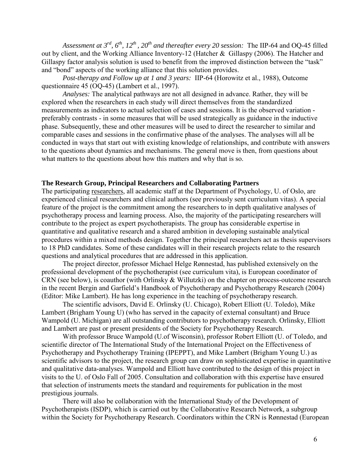*Assessment at 3rd, 6th, 12th , 20th and thereafter every 20 session:* The IIP-64 and OQ-45 filled out by client, and the Working Alliance Inventory-12 (Hatcher & Gillaspy (2006). The Hatcher and Gillaspy factor analysis solution is used to benefit from the improved distinction between the "task" and "bond" aspects of the working alliance that this solution provides.

*Post-therapy and Follow up at 1 and 3 years:* IIP-64 (Horowitz et al., 1988), Outcome questionnaire 45 (OQ-45) (Lambert et al., 1997).

 *Analyses:* The analytical pathways are not all designed in advance. Rather, they will be explored when the researchers in each study will direct themselves from the standardized measurements as indicators to actual selection of cases and sessions. It is the observed variation preferably contrasts - in some measures that will be used strategically as guidance in the inductive phase. Subsequently, these and other measures will be used to direct the researcher to similar and comparable cases and sessions in the confirmative phase of the analyses. The analyses will all be conducted in ways that start out with existing knowledge of relationships, and contribute with answers to the questions about dynamics and mechanisms. The general move is then, from questions about what matters to the questions about how this matters and why that is so.

#### **The Research Group, Principal Researchers and Collaborating Partners**

The participating researchers, all academic staff at the Department of Psychology, U. of Oslo, are experienced clinical researchers and clinical authors (see previously sent curriculum vitas). A special feature of the project is the commitment among the researchers to in depth qualitative analyses of psychotherapy process and learning process. Also, the majority of the participating researchers will contribute to the project as expert psychotherapists. The group has considerable expertise in quantitative and qualitative research and a shared ambition in developing sustainable analytical procedures within a mixed methods design. Together the principal researchers act as thesis supervisors to 18 PhD candidates. Some of these candidates will in their research projects relate to the research questions and analytical procedures that are addressed in this application.

The project director, professor Michael Helge Rønnestad, has published extensively on the professional development of the psychotherapist (see curriculum vita), is European coordinator of CRN (see below), is coauthor (with Orlinsky & Willutzki) on the chapter on process-outcome research in the recent Bergin and Garfield's Handbook of Psychotherapy and Psychotherapy Research (2004) (Editor: Mike Lambert). He has long experience in the teaching of psychotherapy research.

The scientific advisors, David E. Orlinsky (U. Chicago), Robert Elliott (U. Toledo), Mike Lambert (Brigham Young U) (who has served in the capacity of external consultant) and Bruce Wampold (U. Michigan) are all outstanding contributors to psychotherapy research. Orlinsky, Elliott and Lambert are past or present presidents of the Society for Psychotherapy Research.

With professor Bruce Wampold (U.of Wisconsin), professor Robert Elliott (U. of Toledo, and scientific director of The International Study of the International Project on the Effectiveness of Psychotherapy and Psychotherapy Training (IPEPPT), and Mike Lambert (Brigham Young U.) as scientific advisors to the project, the research group can draw on sophisticated expertise in quantitative and qualitative data-analyses. Wampold and Elliott have contributed to the design of this project in visits to the U. of Oslo Fall of 2005. Consultation and collaboration with this expertise have ensured that selection of instruments meets the standard and requirements for publication in the most prestigious journals.

There will also be collaboration with the International Study of the Development of Psychotherapists (ISDP), which is carried out by the Collaborative Research Network, a subgroup within the Society for Psychotherapy Research. Coordinators within the CRN is Rønnestad (European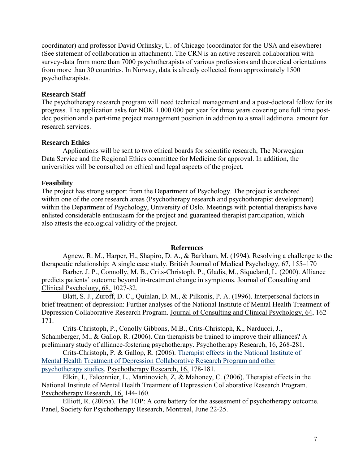coordinator) and professor David Orlinsky, U. of Chicago (coordinator for the USA and elsewhere) (See statement of collaboration in attachment). The CRN is an active research collaboration with survey-data from more than 7000 psychotherapists of various professions and theoretical orientations from more than 30 countries. In Norway, data is already collected from approximately 1500 psychotherapists.

## **Research Staff**

The psychotherapy research program will need technical management and a post-doctoral fellow for its progress. The application asks for NOK 1.000.000 per year for three years covering one full time postdoc position and a part-time project management position in addition to a small additional amount for research services.

## **Research Ethics**

Applications will be sent to two ethical boards for scientific research, The Norwegian Data Service and the Regional Ethics committee for Medicine for approval. In addition, the universities will be consulted on ethical and legal aspects of the project.

# **Feasibility**

The project has strong support from the Department of Psychology. The project is anchored within one of the core research areas (Psychotherapy research and psychotherapist development) within the Department of Psychology, University of Oslo. Meetings with potential therapists have enlisted considerable enthusiasm for the project and guaranteed therapist participation, which also attests the ecological validity of the project.

### **References**

Agnew, R. M., Harper, H., Shapiro, D. A., & Barkham, M. (1994). Resolving a challenge to the therapeutic relationship: A single case study. British Journal of Medical Psychology*,* 67, 155–170

Barber. J. P., Connolly, M. B., Crits-Christoph, P., Gladis, M., Siqueland, L. (2000). Alliance predicts patients' outcome beyond in-treatment change in symptoms. Journal of Consulting and Clinical Psychology, 68, 1027-32.

Blatt, S. J., Zuroff, D. C., Quinlan, D. M., & Pilkonis, P. A. (1996). Interpersonal factors in brief treatment of depression: Further analyses of the National Institute of Mental Health Treatment of Depression Collaborative Research Program. Journal of Consulting and Clinical Psychology, 64, 162- 171.

Crits-Christoph, P., Conolly Gibbons, M.B., Crits-Christoph, K., Narducci, J., Schamberger, M., & Gallop, R. (2006). Can therapists be trained to improve their alliances? A preliminary study of alliance-fostering psychotherapy. Psychotherapy Research, 16, 268-281.

Crits-Christoph, P. & Gallop, R. (2006). [Therapist effects in the National Institute of](http://apps.isiknowledge.com/WoS/CIW.cgi?SID=T1ep@2LH981HCHm3hO8&Func=Abstract&doc=5/4)  [Mental Health Treatment of Depression Collaborative Research Program and other](http://apps.isiknowledge.com/WoS/CIW.cgi?SID=T1ep@2LH981HCHm3hO8&Func=Abstract&doc=5/4)  [psychotherapy studies.](http://apps.isiknowledge.com/WoS/CIW.cgi?SID=T1ep@2LH981HCHm3hO8&Func=Abstract&doc=5/4) Psychotherapy Research, 16, 178-181.

Elkin, I., Falconnier, L., Martinovich, Z, & Mahoney, C. (2006). Therapist effects in the National Institute of Mental Health Treatment of Depression Collaborative Research Program. Psychotherapy Research, 16, 144-160.

Elliott, R. (2005a). The TOP: A core battery for the assessment of psychotherapy outcome. Panel, Society for Psychotherapy Research, Montreal, June 22-25.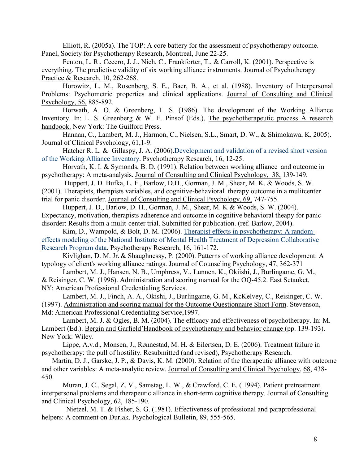Elliott, R. (2005a). The TOP: A core battery for the assessment of psychotherapy outcome. Panel, Society for Psychotherapy Research, Montreal, June 22-25.

Fenton, L. R., Cecero, J. J., Nich, C., Frankforter, T., & Carroll, K. (2001). Perspective is everything. The predictive validity of six working alliance instruments. Journal of Psychotherapy Practice & Research, 10, 262-268.

Horowitz, L. M., Rosenberg, S. E., Baer, B. A., et al. (1988). Inventory of Interpersonal Problems: Psychometric properties and clinical applications. Journal of Consulting and Clinical Psychology, 56, 885-892.

Horwath, A. O. & Greenberg, L. S. (1986). The development of the Working Alliance Inventory. In: L. S. Greenberg & W. E. Pinsof (Eds.), The psychotherapeutic process A research handbook. New York: The Guilford Press.

Hannan, C., Lambert, M. J., Harmon, C., Nielsen, S.L., Smart, D. W., & Shimokawa, K. 2005). Journal of Clinical Psychology, 61,1-9.

Hatcher R. L. & Gillaspy, J. A. (2006).Development and validation of a revised short version [of the Working Alliance Inventory.](http://apps.isiknowledge.com/WoS/CIW.cgi?SID=T1ep@2LH981HCHm3hO8&Func=Abstract&doc=6/4) Psychotherapy Research, 16, 12-25.

Horvath, K. I. & Symonds, B. D. (1991). Relation between working alliance and outcome in psychotherapy: A meta-analysis. Journal of Consulting and Clinical Psychology, 38, 139-149.

 Huppert, J. D. Bufka, L. F., Barlow, D.H., Gorman, J. M., Shear, M. K. & Woods, S. W. (2001). Therapists, therapists variables, and cognitive-behavioral therapy outcome in a mulitcenter trial for panic disorder. Journal of Consulting and Clinical Psychology, 69, 747-755.

Huppert, J. D., Barlow, D. H., Gorman, J. M., Shear, M. K & Woods, S. W. (2004). Expectancy, motivation, therapists adherence and outcome in cognitive behavioral theapy for panic disorder: Results from a mulit-center trial. Submitted for publication. (ref. Barlow, 2004).

Kim, D., Wampold, & Bolt, D. M. (2006). [Therapist effects in psychotherapy: A random](http://apps.isiknowledge.com/WoS/CIW.cgi?SID=T1ep@2LH981HCHm3hO8&Func=Abstract&doc=4/2)[effects modeling of the National Institute of Mental Health Treatment of Depression Collaborative](http://apps.isiknowledge.com/WoS/CIW.cgi?SID=T1ep@2LH981HCHm3hO8&Func=Abstract&doc=4/2)  [Research Program data.](http://apps.isiknowledge.com/WoS/CIW.cgi?SID=T1ep@2LH981HCHm3hO8&Func=Abstract&doc=4/2) Psychotherapy Research, 16, 161-172.

Kivlighan, D. M. Jr. & Shaughnessy, P. (2000). Patterns of working alliance development: A typology of client's working alliance ratings. Journal of Counseling Psychology, 47, 362-371

 Lambert, M. J., Hansen, N. B., Umphress, V., Lunnen, K., Okiishi, J., Burlingame, G. M., & Reisinger, C. W. (1996). Administration and scoring manual for the OQ-45.2. East Setauket, NY: American Professional Credentialing Services.

Lambert, M. J., Finch, A. A., Okishi, J., Burlingame, G. M., KcKelvey, C., Reisinger, C. W. (1997). Administration and scoring manual for the Outcome Questionnaire Short Form. Stevenson, Md: American Professional Credentialing Service,1997.

Lambert, M. J. & Ogles, B. M. (2004). The efficacy and effectiveness of psychotherapy. In: M. Lambert (Ed.). Bergin and Garfield'Handbook of psychotherapy and behavior change (pp. 139-193). New York: Wiley.

Lippe, A.v.d., Monsen, J., Rønnestad, M. H. & Eilertsen, D. E. (2006). Treatment failure in psychotherapy: the pull of hostility. Resubmitted (and revised), Psychotherapy Research.

Martin, D. J., Garske, J. P., & Davis, K. M. (2000). Relation of the therapeutic alliance with outcome and other variables: A meta-analytic review. Journal of Consulting and Clinical Psychology, 68, 438- 450.

Muran, J. C., Segal, Z. V., Samstag, L. W., & Crawford, C. E. ( 1994). Patient pretreatment interpersonal problems and therapeutic alliance in short-term cognitive therapy. Journal of Consulting and Clinical Psychology, 62, 185-190.

 Nietzel, M. T. & Fisher, S. G. (1981). Effectiveness of professional and paraprofessional helpers: A comment on Durlak. Psychological Bulletin, 89, 555-565.